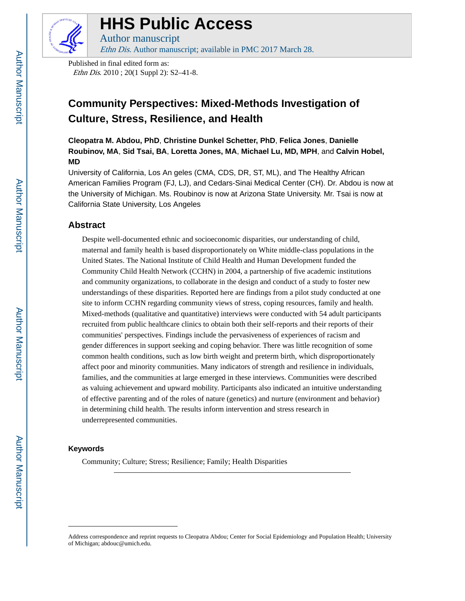

# **HHS Public Access**

Author manuscript Ethn Dis. Author manuscript; available in PMC 2017 March 28.

Published in final edited form as: Ethn Dis. 2010 ; 20(1 Suppl 2): S2–41-8.

## **Community Perspectives: Mixed-Methods Investigation of Culture, Stress, Resilience, and Health**

**Cleopatra M. Abdou, PhD**, **Christine Dunkel Schetter, PhD**, **Felica Jones**, **Danielle Roubinov, MA**, **Sid Tsai, BA**, **Loretta Jones, MA**, **Michael Lu, MD, MPH**, and **Calvin Hobel, MD**

University of California, Los An geles (CMA, CDS, DR, ST, ML), and The Healthy African American Families Program (FJ, LJ), and Cedars-Sinai Medical Center (CH). Dr. Abdou is now at the University of Michigan. Ms. Roubinov is now at Arizona State University. Mr. Tsai is now at California State University, Los Angeles

## **Abstract**

Despite well-documented ethnic and socioeconomic disparities, our understanding of child, maternal and family health is based disproportionately on White middle-class populations in the United States. The National Institute of Child Health and Human Development funded the Community Child Health Network (CCHN) in 2004, a partnership of five academic institutions and community organizations, to collaborate in the design and conduct of a study to foster new understandings of these disparities. Reported here are findings from a pilot study conducted at one site to inform CCHN regarding community views of stress, coping resources, family and health. Mixed-methods (qualitative and quantitative) interviews were conducted with 54 adult participants recruited from public healthcare clinics to obtain both their self-reports and their reports of their communities' perspectives. Findings include the pervasiveness of experiences of racism and gender differences in support seeking and coping behavior. There was little recognition of some common health conditions, such as low birth weight and preterm birth, which disproportionately affect poor and minority communities. Many indicators of strength and resilience in individuals, families, and the communities at large emerged in these interviews. Communities were described as valuing achievement and upward mobility. Participants also indicated an intuitive understanding of effective parenting and of the roles of nature (genetics) and nurture (environment and behavior) in determining child health. The results inform intervention and stress research in underrepresented communities.

#### **Keywords**

Community; Culture; Stress; Resilience; Family; Health Disparities

Address correspondence and reprint requests to Cleopatra Abdou; Center for Social Epidemiology and Population Health; University of Michigan; abdouc@umich.edu.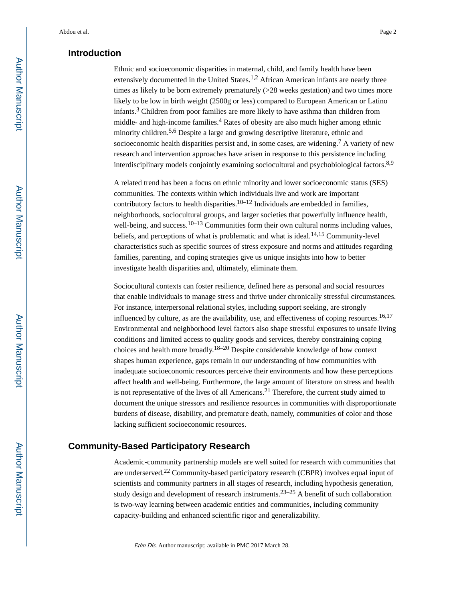## **Introduction**

Ethnic and socioeconomic disparities in maternal, child, and family health have been extensively documented in the United States.<sup>1,2</sup> African American infants are nearly three times as likely to be born extremely prematurely (>28 weeks gestation) and two times more likely to be low in birth weight (2500g or less) compared to European American or Latino infants.<sup>3</sup> Children from poor families are more likely to have asthma than children from middle- and high-income families.<sup>4</sup> Rates of obesity are also much higher among ethnic minority children.<sup>5,6</sup> Despite a large and growing descriptive literature, ethnic and socioeconomic health disparities persist and, in some cases, are widening.<sup>7</sup> A variety of new research and intervention approaches have arisen in response to this persistence including interdisciplinary models conjointly examining sociocultural and psychobiological factors.<sup>8,9</sup>

A related trend has been a focus on ethnic minority and lower socioeconomic status (SES) communities. The contexts within which individuals live and work are important contributory factors to health disparities.<sup>10–12</sup> Individuals are embedded in families, neighborhoods, sociocultural groups, and larger societies that powerfully influence health, well-being, and success.<sup>10–13</sup> Communities form their own cultural norms including values, beliefs, and perceptions of what is problematic and what is ideal.<sup>14,15</sup> Community-level characteristics such as specific sources of stress exposure and norms and attitudes regarding families, parenting, and coping strategies give us unique insights into how to better investigate health disparities and, ultimately, eliminate them.

Sociocultural contexts can foster resilience, defined here as personal and social resources that enable individuals to manage stress and thrive under chronically stressful circumstances. For instance, interpersonal relational styles, including support seeking, are strongly influenced by culture, as are the availability, use, and effectiveness of coping resources.<sup>16,17</sup> Environmental and neighborhood level factors also shape stressful exposures to unsafe living conditions and limited access to quality goods and services, thereby constraining coping choices and health more broadly.18–20 Despite considerable knowledge of how context shapes human experience, gaps remain in our understanding of how communities with inadequate socioeconomic resources perceive their environments and how these perceptions affect health and well-being. Furthermore, the large amount of literature on stress and health is not representative of the lives of all Americans.21 Therefore, the current study aimed to document the unique stressors and resilience resources in communities with disproportionate burdens of disease, disability, and premature death, namely, communities of color and those lacking sufficient socioeconomic resources.

## **Community-Based Participatory Research**

Academic-community partnership models are well suited for research with communities that are underserved.22 Community-based participatory research (CBPR) involves equal input of scientists and community partners in all stages of research, including hypothesis generation, study design and development of research instruments.23–25 A benefit of such collaboration is two-way learning between academic entities and communities, including community capacity-building and enhanced scientific rigor and generalizability.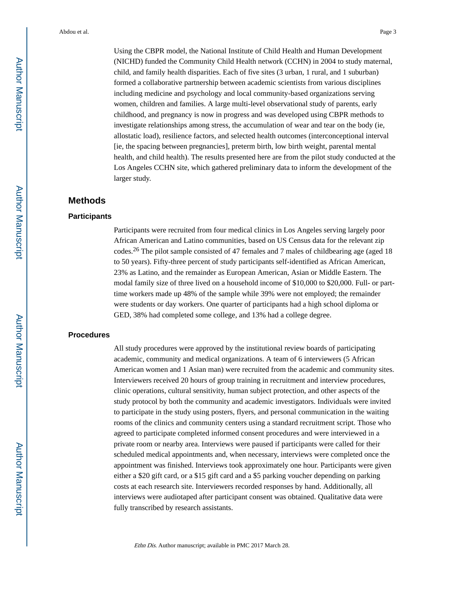Using the CBPR model, the National Institute of Child Health and Human Development (NICHD) funded the Community Child Health network (CCHN) in 2004 to study maternal, child, and family health disparities. Each of five sites (3 urban, 1 rural, and 1 suburban) formed a collaborative partnership between academic scientists from various disciplines including medicine and psychology and local community-based organizations serving women, children and families. A large multi-level observational study of parents, early childhood, and pregnancy is now in progress and was developed using CBPR methods to investigate relationships among stress, the accumulation of wear and tear on the body (ie, allostatic load), resilience factors, and selected health outcomes (interconceptional interval [ie, the spacing between pregnancies], preterm birth, low birth weight, parental mental health, and child health). The results presented here are from the pilot study conducted at the Los Angeles CCHN site, which gathered preliminary data to inform the development of the larger study.

## **Methods**

#### **Participants**

Participants were recruited from four medical clinics in Los Angeles serving largely poor African American and Latino communities, based on US Census data for the relevant zip codes.26 The pilot sample consisted of 47 females and 7 males of childbearing age (aged 18 to 50 years). Fifty-three percent of study participants self-identified as African American, 23% as Latino, and the remainder as European American, Asian or Middle Eastern. The modal family size of three lived on a household income of \$10,000 to \$20,000. Full- or parttime workers made up 48% of the sample while 39% were not employed; the remainder were students or day workers. One quarter of participants had a high school diploma or GED, 38% had completed some college, and 13% had a college degree.

#### **Procedures**

All study procedures were approved by the institutional review boards of participating academic, community and medical organizations. A team of 6 interviewers (5 African American women and 1 Asian man) were recruited from the academic and community sites. Interviewers received 20 hours of group training in recruitment and interview procedures, clinic operations, cultural sensitivity, human subject protection, and other aspects of the study protocol by both the community and academic investigators. Individuals were invited to participate in the study using posters, flyers, and personal communication in the waiting rooms of the clinics and community centers using a standard recruitment script. Those who agreed to participate completed informed consent procedures and were interviewed in a private room or nearby area. Interviews were paused if participants were called for their scheduled medical appointments and, when necessary, interviews were completed once the appointment was finished. Interviews took approximately one hour. Participants were given either a \$20 gift card, or a \$15 gift card and a \$5 parking voucher depending on parking costs at each research site. Interviewers recorded responses by hand. Additionally, all interviews were audiotaped after participant consent was obtained. Qualitative data were fully transcribed by research assistants.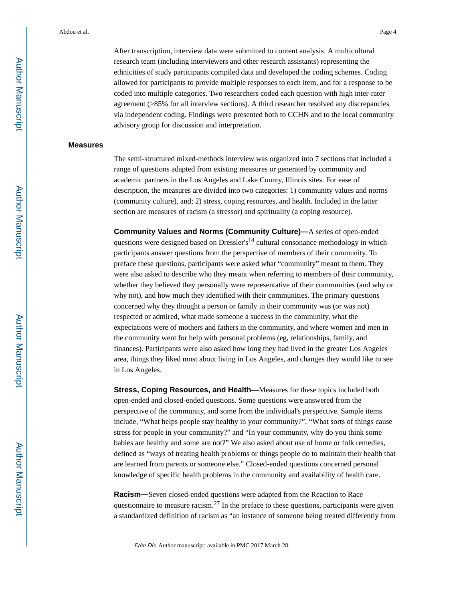After transcription, interview data were submitted to content analysis. A multicultural research team (including interviewers and other research assistants) representing the ethnicities of study participants compiled data and developed the coding schemes. Coding allowed for participants to provide multiple responses to each item, and for a response to be coded into multiple categories. Two researchers coded each question with high inter-rater agreement (>85% for all interview sections). A third researcher resolved any discrepancies via independent coding. Findings were presented both to CCHN and to the local community advisory group for discussion and interpretation.

#### **Measures**

The semi-structured mixed-methods interview was organized into 7 sections that included a range of questions adapted from existing measures or generated by community and academic partners in the Los Angeles and Lake County, Illinois sites. For ease of description, the measures are divided into two categories: 1) community values and norms (community culture), and; 2) stress, coping resources, and health. Included in the latter section are measures of racism (a stressor) and spirituality (a coping resource).

**Community Values and Norms (Community Culture)—**A series of open-ended questions were designed based on Dressler's<sup>14</sup> cultural consonance methodology in which participants answer questions from the perspective of members of their community. To preface these questions, participants were asked what "community" meant to them. They were also asked to describe who they meant when referring to members of their community, whether they believed they personally were representative of their communities (and why or why not), and how much they identified with their communities. The primary questions concerned why they thought a person or family in their community was (or was not) respected or admired, what made someone a success in the community, what the expectations were of mothers and fathers in the community, and where women and men in the community went for help with personal problems (eg, relationships, family, and finances). Participants were also asked how long they had lived in the greater Los Angeles area, things they liked most about living in Los Angeles, and changes they would like to see in Los Angeles.

**Stress, Coping Resources, and Health—Measures for these topics included both** open-ended and closed-ended questions. Some questions were answered from the perspective of the community, and some from the individual's perspective. Sample items include, "What helps people stay healthy in your community?", "What sorts of things cause stress for people in your community?" and "In your community, why do you think some babies are healthy and some are not?" We also asked about use of home or folk remedies, defined as "ways of treating health problems or things people do to maintain their health that are learned from parents or someone else." Closed-ended questions concerned personal knowledge of specific health problems in the community and availability of health care.

**Racism—**Seven closed-ended questions were adapted from the Reaction to Race questionnaire to measure racism.<sup>27</sup> In the preface to these questions, participants were given a standardized definition of racism as "an instance of someone being treated differently from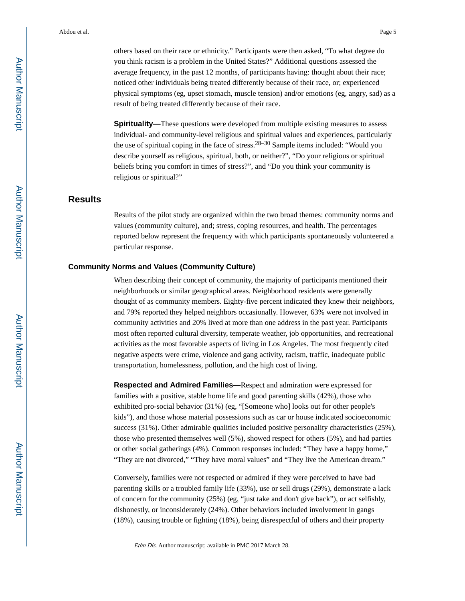others based on their race or ethnicity." Participants were then asked, "To what degree do you think racism is a problem in the United States?" Additional questions assessed the average frequency, in the past 12 months, of participants having: thought about their race; noticed other individuals being treated differently because of their race, or; experienced physical symptoms (eg, upset stomach, muscle tension) and/or emotions (eg, angry, sad) as a result of being treated differently because of their race.

**Spirituality—**These questions were developed from multiple existing measures to assess individual- and community-level religious and spiritual values and experiences, particularly the use of spiritual coping in the face of stress.  $28-30$  Sample items included: "Would you describe yourself as religious, spiritual, both, or neither?", "Do your religious or spiritual beliefs bring you comfort in times of stress?", and "Do you think your community is religious or spiritual?"

#### **Results**

Results of the pilot study are organized within the two broad themes: community norms and values (community culture), and; stress, coping resources, and health. The percentages reported below represent the frequency with which participants spontaneously volunteered a particular response.

#### **Community Norms and Values (Community Culture)**

When describing their concept of community, the majority of participants mentioned their neighborhoods or similar geographical areas. Neighborhood residents were generally thought of as community members. Eighty-five percent indicated they knew their neighbors, and 79% reported they helped neighbors occasionally. However, 63% were not involved in community activities and 20% lived at more than one address in the past year. Participants most often reported cultural diversity, temperate weather, job opportunities, and recreational activities as the most favorable aspects of living in Los Angeles. The most frequently cited negative aspects were crime, violence and gang activity, racism, traffic, inadequate public transportation, homelessness, pollution, and the high cost of living.

**Respected and Admired Families—**Respect and admiration were expressed for families with a positive, stable home life and good parenting skills (42%), those who exhibited pro-social behavior (31%) (eg, "[Someone who] looks out for other people's kids"), and those whose material possessions such as car or house indicated socioeconomic success (31%). Other admirable qualities included positive personality characteristics (25%), those who presented themselves well (5%), showed respect for others (5%), and had parties or other social gatherings (4%). Common responses included: "They have a happy home," "They are not divorced," "They have moral values" and "They live the American dream."

Conversely, families were not respected or admired if they were perceived to have bad parenting skills or a troubled family life (33%), use or sell drugs (29%), demonstrate a lack of concern for the community (25%) (eg, "just take and don't give back"), or act selfishly, dishonestly, or inconsiderately (24%). Other behaviors included involvement in gangs (18%), causing trouble or fighting (18%), being disrespectful of others and their property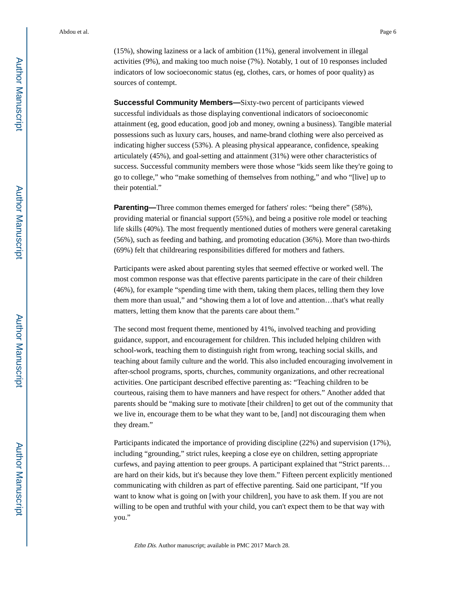(15%), showing laziness or a lack of ambition (11%), general involvement in illegal activities (9%), and making too much noise (7%). Notably, 1 out of 10 responses included indicators of low socioeconomic status (eg, clothes, cars, or homes of poor quality) as sources of contempt.

**Successful Community Members—**Sixty-two percent of participants viewed successful individuals as those displaying conventional indicators of socioeconomic attainment (eg, good education, good job and money, owning a business). Tangible material possessions such as luxury cars, houses, and name-brand clothing were also perceived as indicating higher success (53%). A pleasing physical appearance, confidence, speaking articulately (45%), and goal-setting and attainment (31%) were other characteristics of success. Successful community members were those whose "kids seem like they're going to go to college," who "make something of themselves from nothing," and who "[live] up to their potential."

**Parenting—**Three common themes emerged for fathers' roles: "being there" (58%), providing material or financial support (55%), and being a positive role model or teaching life skills (40%). The most frequently mentioned duties of mothers were general caretaking (56%), such as feeding and bathing, and promoting education (36%). More than two-thirds (69%) felt that childrearing responsibilities differed for mothers and fathers.

Participants were asked about parenting styles that seemed effective or worked well. The most common response was that effective parents participate in the care of their children (46%), for example "spending time with them, taking them places, telling them they love them more than usual," and "showing them a lot of love and attention…that's what really matters, letting them know that the parents care about them."

The second most frequent theme, mentioned by 41%, involved teaching and providing guidance, support, and encouragement for children. This included helping children with school-work, teaching them to distinguish right from wrong, teaching social skills, and teaching about family culture and the world. This also included encouraging involvement in after-school programs, sports, churches, community organizations, and other recreational activities. One participant described effective parenting as: "Teaching children to be courteous, raising them to have manners and have respect for others." Another added that parents should be "making sure to motivate [their children] to get out of the community that we live in, encourage them to be what they want to be, [and] not discouraging them when they dream."

Participants indicated the importance of providing discipline (22%) and supervision (17%), including "grounding," strict rules, keeping a close eye on children, setting appropriate curfews, and paying attention to peer groups. A participant explained that "Strict parents… are hard on their kids, but it's because they love them." Fifteen percent explicitly mentioned communicating with children as part of effective parenting. Said one participant, "If you want to know what is going on [with your children], you have to ask them. If you are not willing to be open and truthful with your child, you can't expect them to be that way with you."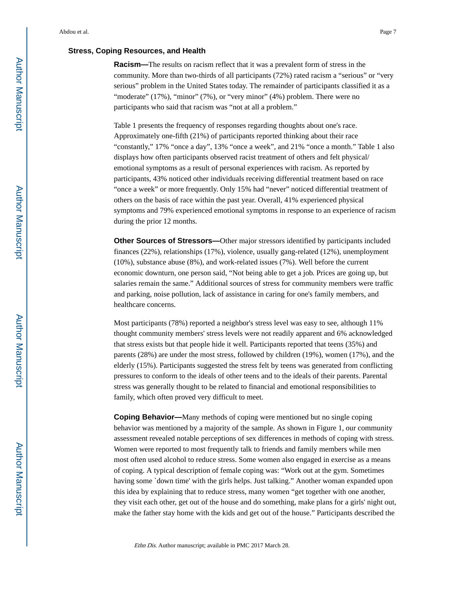#### **Stress, Coping Resources, and Health**

**Racism—**The results on racism reflect that it was a prevalent form of stress in the community. More than two-thirds of all participants (72%) rated racism a "serious" or "very serious" problem in the United States today. The remainder of participants classified it as a "moderate" (17%), "minor" (7%), or "very minor" (4%) problem. There were no participants who said that racism was "not at all a problem."

Table 1 presents the frequency of responses regarding thoughts about one's race. Approximately one-fifth (21%) of participants reported thinking about their race "constantly," 17% "once a day", 13% "once a week", and 21% "once a month." Table 1 also displays how often participants observed racist treatment of others and felt physical/ emotional symptoms as a result of personal experiences with racism. As reported by participants, 43% noticed other individuals receiving differential treatment based on race "once a week" or more frequently. Only 15% had "never" noticed differential treatment of others on the basis of race within the past year. Overall, 41% experienced physical symptoms and 79% experienced emotional symptoms in response to an experience of racism during the prior 12 months.

**Other Sources of Stressors—**Other major stressors identified by participants included finances (22%), relationships (17%), violence, usually gang-related (12%), unemployment (10%), substance abuse (8%), and work-related issues (7%). Well before the current economic downturn, one person said, "Not being able to get a job. Prices are going up, but salaries remain the same." Additional sources of stress for community members were traffic and parking, noise pollution, lack of assistance in caring for one's family members, and healthcare concerns.

Most participants (78%) reported a neighbor's stress level was easy to see, although 11% thought community members' stress levels were not readily apparent and 6% acknowledged that stress exists but that people hide it well. Participants reported that teens (35%) and parents (28%) are under the most stress, followed by children (19%), women (17%), and the elderly (15%). Participants suggested the stress felt by teens was generated from conflicting pressures to conform to the ideals of other teens and to the ideals of their parents. Parental stress was generally thought to be related to financial and emotional responsibilities to family, which often proved very difficult to meet.

**Coping Behavior—**Many methods of coping were mentioned but no single coping behavior was mentioned by a majority of the sample. As shown in Figure 1, our community assessment revealed notable perceptions of sex differences in methods of coping with stress. Women were reported to most frequently talk to friends and family members while men most often used alcohol to reduce stress. Some women also engaged in exercise as a means of coping. A typical description of female coping was: "Work out at the gym. Sometimes having some `down time' with the girls helps. Just talking." Another woman expanded upon this idea by explaining that to reduce stress, many women "get together with one another, they visit each other, get out of the house and do something, make plans for a girls' night out, make the father stay home with the kids and get out of the house." Participants described the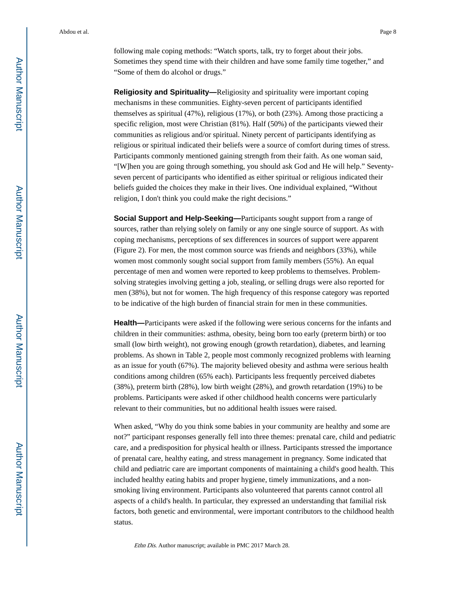following male coping methods: "Watch sports, talk, try to forget about their jobs. Sometimes they spend time with their children and have some family time together," and "Some of them do alcohol or drugs."

**Religiosity and Spirituality—**Religiosity and spirituality were important coping mechanisms in these communities. Eighty-seven percent of participants identified themselves as spiritual (47%), religious (17%), or both (23%). Among those practicing a specific religion, most were Christian (81%). Half (50%) of the participants viewed their communities as religious and/or spiritual. Ninety percent of participants identifying as religious or spiritual indicated their beliefs were a source of comfort during times of stress. Participants commonly mentioned gaining strength from their faith. As one woman said, "[W]hen you are going through something, you should ask God and He will help." Seventyseven percent of participants who identified as either spiritual or religious indicated their beliefs guided the choices they make in their lives. One individual explained, "Without religion, I don't think you could make the right decisions."

**Social Support and Help-Seeking—**Participants sought support from a range of sources, rather than relying solely on family or any one single source of support. As with coping mechanisms, perceptions of sex differences in sources of support were apparent (Figure 2). For men, the most common source was friends and neighbors (33%), while women most commonly sought social support from family members (55%). An equal percentage of men and women were reported to keep problems to themselves. Problemsolving strategies involving getting a job, stealing, or selling drugs were also reported for men (38%), but not for women. The high frequency of this response category was reported to be indicative of the high burden of financial strain for men in these communities.

**Health—**Participants were asked if the following were serious concerns for the infants and children in their communities: asthma, obesity, being born too early (preterm birth) or too small (low birth weight), not growing enough (growth retardation), diabetes, and learning problems. As shown in Table 2, people most commonly recognized problems with learning as an issue for youth (67%). The majority believed obesity and asthma were serious health conditions among children (65% each). Participants less frequently perceived diabetes (38%), preterm birth (28%), low birth weight (28%), and growth retardation (19%) to be problems. Participants were asked if other childhood health concerns were particularly relevant to their communities, but no additional health issues were raised.

When asked, "Why do you think some babies in your community are healthy and some are not?" participant responses generally fell into three themes: prenatal care, child and pediatric care, and a predisposition for physical health or illness. Participants stressed the importance of prenatal care, healthy eating, and stress management in pregnancy. Some indicated that child and pediatric care are important components of maintaining a child's good health. This included healthy eating habits and proper hygiene, timely immunizations, and a nonsmoking living environment. Participants also volunteered that parents cannot control all aspects of a child's health. In particular, they expressed an understanding that familial risk factors, both genetic and environmental, were important contributors to the childhood health status.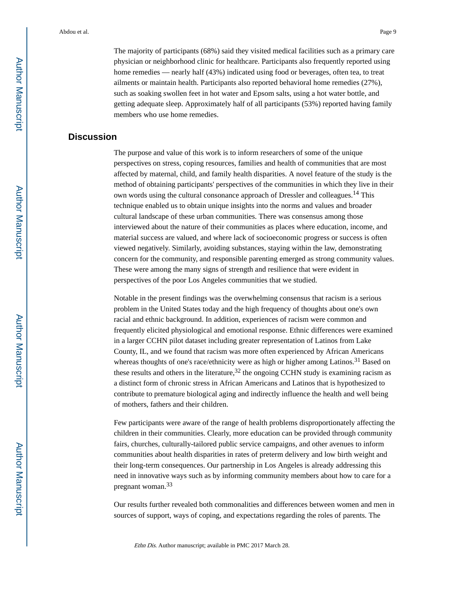The majority of participants (68%) said they visited medical facilities such as a primary care physician or neighborhood clinic for healthcare. Participants also frequently reported using home remedies — nearly half (43%) indicated using food or beverages, often tea, to treat ailments or maintain health. Participants also reported behavioral home remedies (27%), such as soaking swollen feet in hot water and Epsom salts, using a hot water bottle, and getting adequate sleep. Approximately half of all participants (53%) reported having family members who use home remedies.

## **Discussion**

The purpose and value of this work is to inform researchers of some of the unique perspectives on stress, coping resources, families and health of communities that are most affected by maternal, child, and family health disparities. A novel feature of the study is the method of obtaining participants' perspectives of the communities in which they live in their own words using the cultural consonance approach of Dressler and colleagues.14 This technique enabled us to obtain unique insights into the norms and values and broader cultural landscape of these urban communities. There was consensus among those interviewed about the nature of their communities as places where education, income, and material success are valued, and where lack of socioeconomic progress or success is often viewed negatively. Similarly, avoiding substances, staying within the law, demonstrating concern for the community, and responsible parenting emerged as strong community values. These were among the many signs of strength and resilience that were evident in perspectives of the poor Los Angeles communities that we studied.

Notable in the present findings was the overwhelming consensus that racism is a serious problem in the United States today and the high frequency of thoughts about one's own racial and ethnic background. In addition, experiences of racism were common and frequently elicited physiological and emotional response. Ethnic differences were examined in a larger CCHN pilot dataset including greater representation of Latinos from Lake County, IL, and we found that racism was more often experienced by African Americans whereas thoughts of one's race/ethnicity were as high or higher among Latinos.<sup>31</sup> Based on these results and others in the literature,  $32$  the ongoing CCHN study is examining racism as a distinct form of chronic stress in African Americans and Latinos that is hypothesized to contribute to premature biological aging and indirectly influence the health and well being of mothers, fathers and their children.

Few participants were aware of the range of health problems disproportionately affecting the children in their communities. Clearly, more education can be provided through community fairs, churches, culturally-tailored public service campaigns, and other avenues to inform communities about health disparities in rates of preterm delivery and low birth weight and their long-term consequences. Our partnership in Los Angeles is already addressing this need in innovative ways such as by informing community members about how to care for a pregnant woman.<sup>33</sup>

Our results further revealed both commonalities and differences between women and men in sources of support, ways of coping, and expectations regarding the roles of parents. The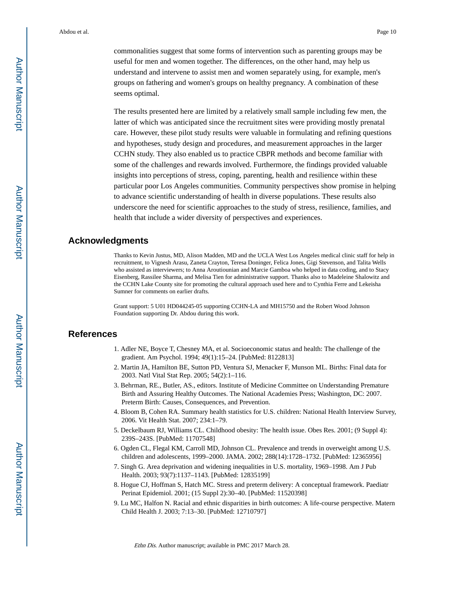commonalities suggest that some forms of intervention such as parenting groups may be useful for men and women together. The differences, on the other hand, may help us understand and intervene to assist men and women separately using, for example, men's groups on fathering and women's groups on healthy pregnancy. A combination of these seems optimal.

The results presented here are limited by a relatively small sample including few men, the latter of which was anticipated since the recruitment sites were providing mostly prenatal care. However, these pilot study results were valuable in formulating and refining questions and hypotheses, study design and procedures, and measurement approaches in the larger CCHN study. They also enabled us to practice CBPR methods and become familiar with some of the challenges and rewards involved. Furthermore, the findings provided valuable insights into perceptions of stress, coping, parenting, health and resilience within these particular poor Los Angeles communities. Community perspectives show promise in helping to advance scientific understanding of health in diverse populations. These results also underscore the need for scientific approaches to the study of stress, resilience, families, and health that include a wider diversity of perspectives and experiences.

## **Acknowledgments**

Thanks to Kevin Justus, MD, Alison Madden, MD and the UCLA West Los Angeles medical clinic staff for help in recruitment, to Vignesh Arasu, Zaneta Crayton, Teresa Doninger, Felica Jones, Gigi Stevenson, and Talita Wells who assisted as interviewers; to Anna Aroutiounian and Marcie Gamboa who helped in data coding, and to Stacy Eisenberg, Rassilee Sharma, and Melisa Tien for administrative support. Thanks also to Madeleine Shalowitz and the CCHN Lake County site for promoting the cultural approach used here and to Cynthia Ferre and Lekeisha Sumner for comments on earlier drafts.

Grant support: 5 U01 HD044245-05 supporting CCHN-LA and MH15750 and the Robert Wood Johnson Foundation supporting Dr. Abdou during this work.

## **References**

- 1. Adler NE, Boyce T, Chesney MA, et al. Socioeconomic status and health: The challenge of the gradient. Am Psychol. 1994; 49(1):15–24. [PubMed: 8122813]
- 2. Martin JA, Hamilton BE, Sutton PD, Ventura SJ, Menacker F, Munson ML. Births: Final data for 2003. Natl Vital Stat Rep. 2005; 54(2):1–116.
- 3. Behrman, RE., Butler, AS., editors. Institute of Medicine Committee on Understanding Premature Birth and Assuring Healthy Outcomes. The National Academies Press; Washington, DC: 2007. Preterm Birth: Causes, Consequences, and Prevention.
- 4. Bloom B, Cohen RA. Summary health statistics for U.S. children: National Health Interview Survey, 2006. Vit Health Stat. 2007; 234:1–79.
- 5. Deckelbaum RJ, Williams CL. Childhood obesity: The health issue. Obes Res. 2001; (9 Suppl 4): 239S–243S. [PubMed: 11707548]
- 6. Ogden CL, Flegal KM, Carroll MD, Johnson CL. Prevalence and trends in overweight among U.S. children and adolescents, 1999–2000. JAMA. 2002; 288(14):1728–1732. [PubMed: 12365956]
- 7. Singh G. Area deprivation and widening inequalities in U.S. mortality, 1969–1998. Am J Pub Health. 2003; 93(7):1137–1143. [PubMed: 12835199]
- 8. Hogue CJ, Hoffman S, Hatch MC. Stress and preterm delivery: A conceptual framework. Paediatr Perinat Epidemiol. 2001; (15 Suppl 2):30–40. [PubMed: 11520398]
- 9. Lu MC, Halfon N. Racial and ethnic disparities in birth outcomes: A life-course perspective. Matern Child Health J. 2003; 7:13–30. [PubMed: 12710797]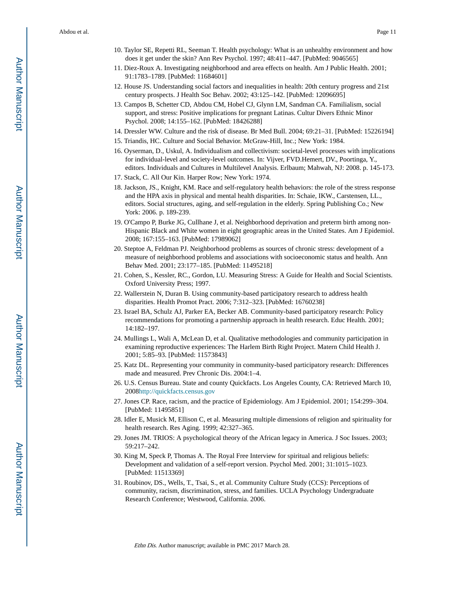- 10. Taylor SE, Repetti RL, Seeman T. Health psychology: What is an unhealthy environment and how does it get under the skin? Ann Rev Psychol. 1997; 48:411–447. [PubMed: 9046565]
- 11. Diez-Roux A. Investigating neighborhood and area effects on health. Am J Public Health. 2001; 91:1783–1789. [PubMed: 11684601]
- 12. House JS. Understanding social factors and inequalities in health: 20th century progress and 21st century prospects. J Health Soc Behav. 2002; 43:125–142. [PubMed: 12096695]
- 13. Campos B, Schetter CD, Abdou CM, Hobel CJ, Glynn LM, Sandman CA. Familialism, social support, and stress: Positive implications for pregnant Latinas. Cultur Divers Ethnic Minor Psychol. 2008; 14:155–162. [PubMed: 18426288]
- 14. Dressler WW. Culture and the risk of disease. Br Med Bull. 2004; 69:21–31. [PubMed: 15226194]
- 15. Triandis, HC. Culture and Social Behavior. McGraw-Hill, Inc.; New York: 1984.
- 16. Oyserman, D., Uskul, A. Individualism and collectivism: societal-level processes with implications for individual-level and society-level outcomes. In: Vijver, FVD.Hemert, DV., Poortinga, Y., editors. Individuals and Cultures in Multilevel Analysis. Erlbaum; Mahwah, NJ: 2008. p. 145-173.
- 17. Stack, C. All Our Kin. Harper Row; New York: 1974.
- 18. Jackson, JS., Knight, KM. Race and self-regulatory health behaviors: the role of the stress response and the HPA axis in physical and mental health disparities. In: Schaie, IKW., Carstensen, LL., editors. Social structures, aging, and self-regulation in the elderly. Spring Publishing Co.; New York: 2006. p. 189-239.
- 19. O'Campo P, Burke JG, Cullhane J, et al. Neighborhood deprivation and preterm birth among non-Hispanic Black and White women in eight geographic areas in the United States. Am J Epidemiol. 2008; 167:155–163. [PubMed: 17989062]
- 20. Steptoe A, Feldman PJ. Neighborhood problems as sources of chronic stress: development of a measure of neighborhood problems and associations with socioeconomic status and health. Ann Behav Med. 2001; 23:177–185. [PubMed: 11495218]
- 21. Cohen, S., Kessler, RC., Gordon, LU. Measuring Stress: A Guide for Health and Social Scientists. Oxford University Press; 1997.
- 22. Wallerstein N, Duran B. Using community-based participatory research to address health disparities. Health Promot Pract. 2006; 7:312–323. [PubMed: 16760238]
- 23. Israel BA, Schulz AJ, Parker EA, Becker AB. Community-based participatory research: Policy recommendations for promoting a partnership approach in health research. Educ Health. 2001; 14:182–197.
- 24. Mullings L, Wali A, McLean D, et al. Qualitative methodologies and community participation in examining reproductive experiences: The Harlem Birth Right Project. Matern Child Health J. 2001; 5:85–93. [PubMed: 11573843]
- 25. Katz DL. Representing your community in community-based participatory research: Differences made and measured. Prev Chronic Dis. 2004:1–4.
- 26. U.S. Census Bureau. State and county Quickfacts. Los Angeles County, CA: Retrieved March 10, 2008<http://quickfacts.census.gov>
- 27. Jones CP. Race, racism, and the practice of Epidemiology. Am J Epidemiol. 2001; 154:299–304. [PubMed: 11495851]
- 28. Idler E, Musick M, Ellison C, et al. Measuring multiple dimensions of religion and spirituality for health research. Res Aging. 1999; 42:327–365.
- 29. Jones JM. TRIOS: A psychological theory of the African legacy in America. J Soc Issues. 2003; 59:217–242.
- 30. King M, Speck P, Thomas A. The Royal Free Interview for spiritual and religious beliefs: Development and validation of a self-report version. Psychol Med. 2001; 31:1015–1023. [PubMed: 11513369]
- 31. Roubinov, DS., Wells, T., Tsai, S., et al. Community Culture Study (CCS): Perceptions of community, racism, discrimination, stress, and families. UCLA Psychology Undergraduate Research Conference; Westwood, California. 2006.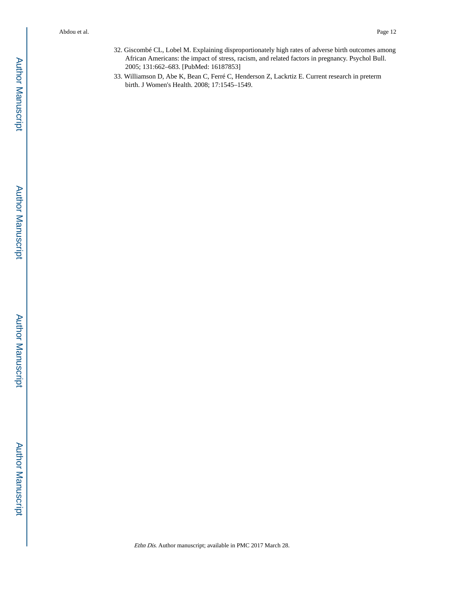- 32. Giscombé CL, Lobel M. Explaining disproportionately high rates of adverse birth outcomes among African Americans: the impact of stress, racism, and related factors in pregnancy. Psychol Bull. 2005; 131:662–683. [PubMed: 16187853]
- 33. Williamson D, Abe K, Bean C, Ferré C, Henderson Z, Lackrtiz E. Current research in preterm birth. J Women's Health. 2008; 17:1545–1549.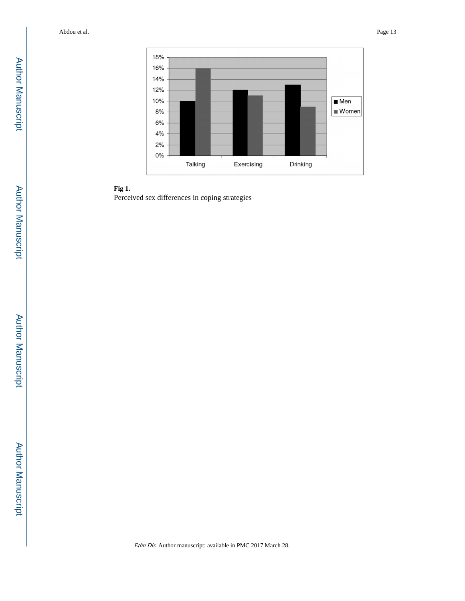



Perceived sex differences in coping strategies

Author Manuscript Author Manuscript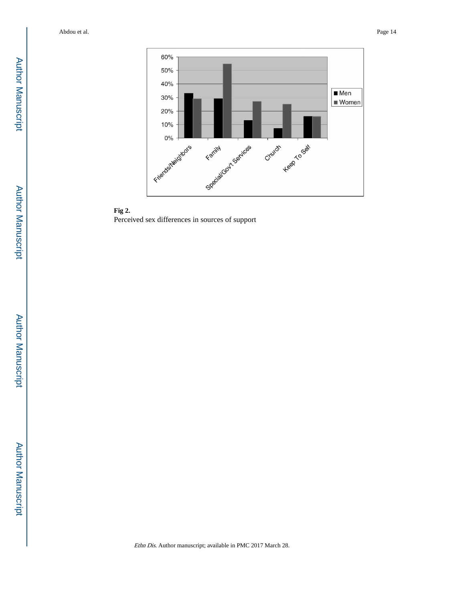

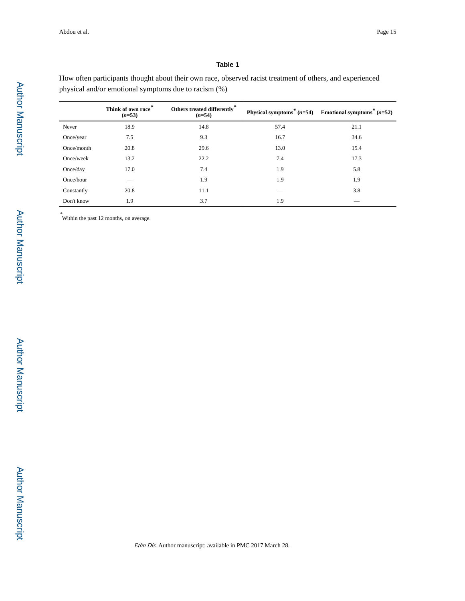#### **Table 1**

How often participants thought about their own race, observed racist treatment of others, and experienced physical and/or emotional symptoms due to racism (%)

|            | Think of own race*<br>$(n=53)$ | Others treated differently $\!^*$<br>$(n=54)$ |      | Physical symptoms <sup>*</sup> $(n=54)$ Emotional symptoms <sup>*</sup> $(n=52)$ |
|------------|--------------------------------|-----------------------------------------------|------|----------------------------------------------------------------------------------|
| Never      | 18.9                           | 14.8                                          | 57.4 | 21.1                                                                             |
| Once/year  | 7.5                            | 9.3                                           | 16.7 | 34.6                                                                             |
| Once/month | 20.8                           | 29.6                                          | 13.0 | 15.4                                                                             |
| Once/week  | 13.2                           | 22.2                                          | 7.4  | 17.3                                                                             |
| Once/day   | 17.0                           | 7.4                                           | 1.9  | 5.8                                                                              |
| Once/hour  |                                | 1.9                                           | 1.9  | 1.9                                                                              |
| Constantly | 20.8                           | 11.1                                          |      | 3.8                                                                              |
| Don't know | 1.9                            | 3.7                                           | 1.9  |                                                                                  |

\* Within the past 12 months, on average.